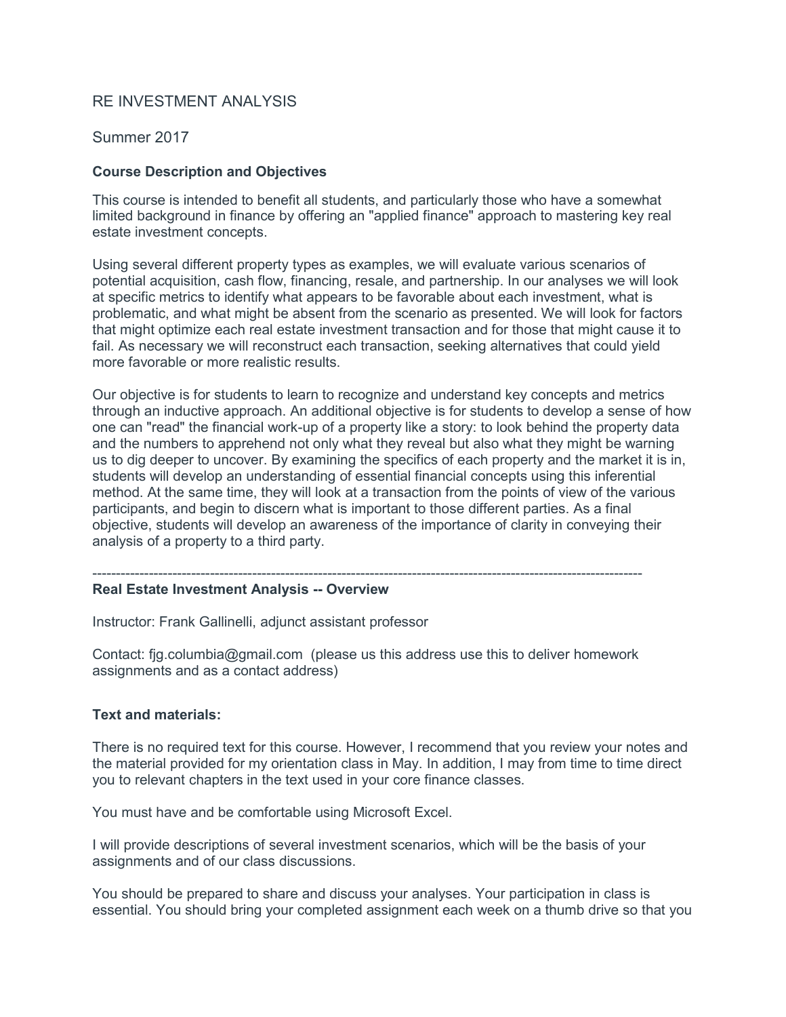# RE INVESTMENT ANALYSIS

## Summer 2017

## **Course Description and Objectives**

This course is intended to benefit all students, and particularly those who have a somewhat limited background in finance by offering an "applied finance" approach to mastering key real estate investment concepts.

Using several different property types as examples, we will evaluate various scenarios of potential acquisition, cash flow, financing, resale, and partnership. In our analyses we will look at specific metrics to identify what appears to be favorable about each investment, what is problematic, and what might be absent from the scenario as presented. We will look for factors that might optimize each real estate investment transaction and for those that might cause it to fail. As necessary we will reconstruct each transaction, seeking alternatives that could yield more favorable or more realistic results.

Our objective is for students to learn to recognize and understand key concepts and metrics through an inductive approach. An additional objective is for students to develop a sense of how one can "read" the financial work-up of a property like a story: to look behind the property data and the numbers to apprehend not only what they reveal but also what they might be warning us to dig deeper to uncover. By examining the specifics of each property and the market it is in, students will develop an understanding of essential financial concepts using this inferential method. At the same time, they will look at a transaction from the points of view of the various participants, and begin to discern what is important to those different parties. As a final objective, students will develop an awareness of the importance of clarity in conveying their analysis of a property to a third party.

#### --------------------------------------------------------------------------------------------------------------------- **Real Estate Investment Analysis -- Overview**

Instructor: Frank Gallinelli, adjunct assistant professor

Contact: fjg.columbia@gmail.com (please us this address use this to deliver homework assignments and as a contact address)

#### **Text and materials:**

There is no required text for this course. However, I recommend that you review your notes and the material provided for my orientation class in May. In addition, I may from time to time direct you to relevant chapters in the text used in your core finance classes.

You must have and be comfortable using Microsoft Excel.

I will provide descriptions of several investment scenarios, which will be the basis of your assignments and of our class discussions.

You should be prepared to share and discuss your analyses. Your participation in class is essential. You should bring your completed assignment each week on a thumb drive so that you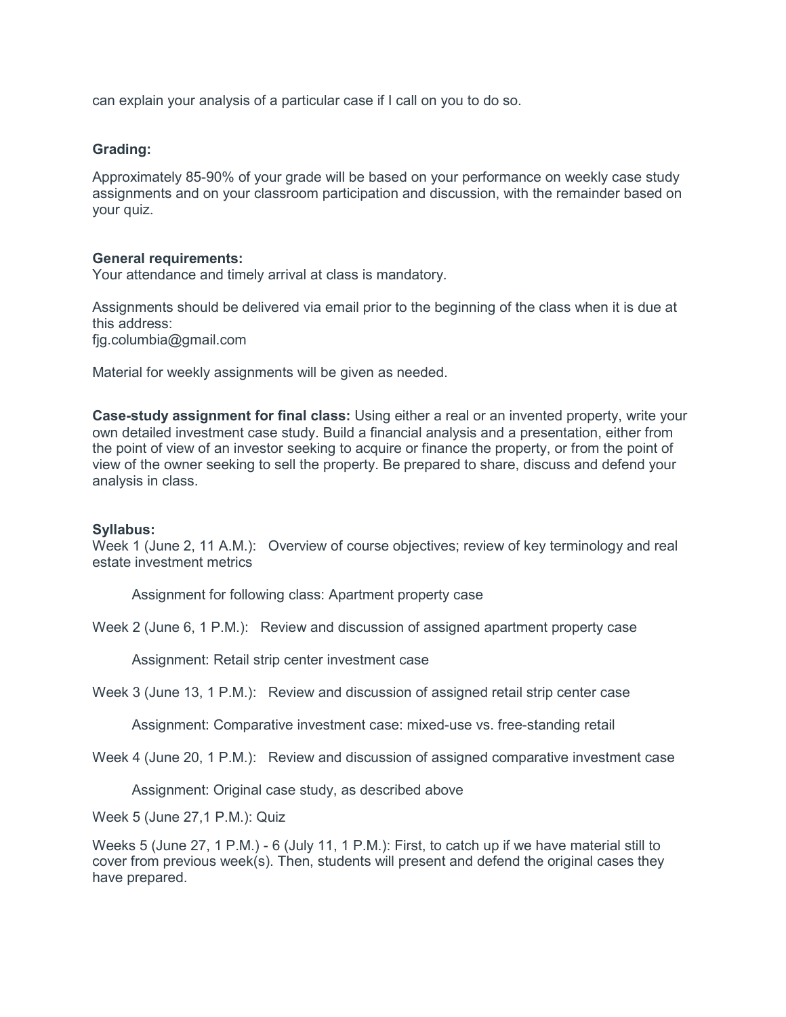can explain your analysis of a particular case if I call on you to do so.

## **Grading:**

Approximately 85-90% of your grade will be based on your performance on weekly case study assignments and on your classroom participation and discussion, with the remainder based on your quiz.

#### **General requirements:**

Your attendance and timely arrival at class is mandatory.

Assignments should be delivered via email prior to the beginning of the class when it is due at this address: fjg.columbia@gmail.com

Material for weekly assignments will be given as needed.

**Case-study assignment for final class:** Using either a real or an invented property, write your own detailed investment case study. Build a financial analysis and a presentation, either from the point of view of an investor seeking to acquire or finance the property, or from the point of view of the owner seeking to sell the property. Be prepared to share, discuss and defend your analysis in class.

#### **Syllabus:**

Week 1 (June 2, 11 A.M.): Overview of course objectives; review of key terminology and real estate investment metrics

Assignment for following class: Apartment property case

Week 2 (June 6, 1 P.M.): Review and discussion of assigned apartment property case

Assignment: Retail strip center investment case

Week 3 (June 13, 1 P.M.): Review and discussion of assigned retail strip center case

Assignment: Comparative investment case: mixed-use vs. free-standing retail

Week 4 (June 20, 1 P.M.): Review and discussion of assigned comparative investment case

Assignment: Original case study, as described above

Week 5 (June 27,1 P.M.): Quiz

Weeks 5 (June 27, 1 P.M.) - 6 (July 11, 1 P.M.): First, to catch up if we have material still to cover from previous week(s). Then, students will present and defend the original cases they have prepared.